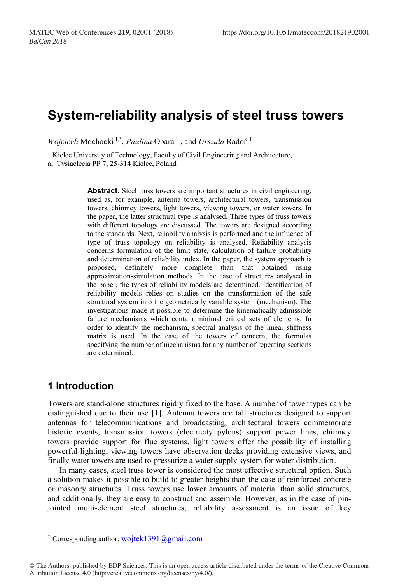# **System-reliability analysis of steel truss towers**

*Wojciech* Mochocki<sup>1,\*</sup>, *Paulina* Obara<sup>1</sup>, and *Urszula* Radoń<sup>1</sup>

<sup>1</sup> Kielce University of Technology, Faculty of Civil Engineering and Architecture, al. Tysiąclecia PP 7, 25-314 Kielce, Poland

> Abstract. Steel truss towers are important structures in civil engineering, used as, for example, antenna towers, architectural towers, transmission towers, chimney towers, light towers, viewing towers, or water towers. In the paper, the latter structural type is analysed. Three types of truss towers with different topology are discussed. The towers are designed according to the standards. Next, reliability analysis is performed and the influence of type of truss topology on reliability is analysed. Reliability analysis concerns formulation of the limit state, calculation of failure probability and determination of reliability index. In the paper, the system approach is proposed, definitely more complete than that obtained using approximation-simulation methods. In the case of structures analysed in the paper, the types of reliability models are determined. Identification of reliability models relies on studies on the transformation of the safe structural system into the geometrically variable system (mechanism). The investigations made it possible to determine the kinematically admissible failure mechanisms which contain minimal critical sets of elements. In order to identify the mechanism, spectral analysis of the linear stiffness matrix is used. In the case of the towers of concern, the formulas specifying the number of mechanisms for any number of repeating sections are determined.

## **1 Introduction**

Towers are stand-alone structures rigidly fixed to the base. A number of tower types can be distinguished due to their use [1]. Antenna towers are tall structures designed to support antennas for telecommunications and broadcasting, architectural towers commemorate historic events, transmission towers (electricity pylons) support power lines, chimney towers provide support for flue systems, light towers offer the possibility of installing powerful lighting, viewing towers have observation decks providing extensive views, and finally water towers are used to pressurize a water supply system for water distribution.

In many cases, steel truss tower is considered the most effective structural option. Such a solution makes it possible to build to greater heights than the case of reinforced concrete or masonry structures. Truss towers use lower amounts of material than solid structures, and additionally, they are easy to construct and assemble. However, as in the case of pinjointed multi-element steel structures, reliability assessment is an issue of key

<sup>\*</sup> Corresponding author: wojtek1391@gmail.com

<sup>©</sup> The Authors, published by EDP Sciences. This is an open access article distributed under the terms of the Creative Commons Attribution License 4.0 (http://creativecommons.org/licenses/by/4.0/).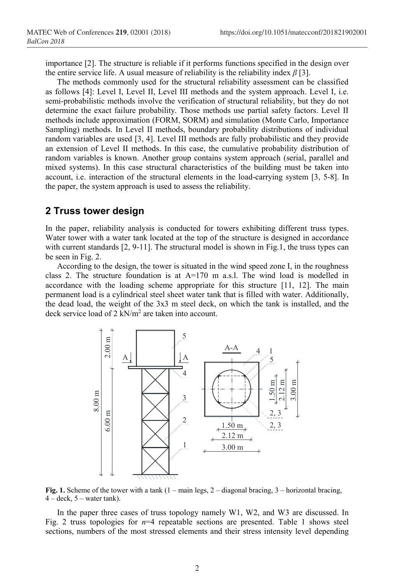importance [2]. The structure is reliable if it performs functions specified in the design over the entire service life. A usual measure of reliability is the reliability index *β* [3].

The methods commonly used for the structural reliability assessment can be classified as follows [4]: Level I, Level II, Level III methods and the system approach. Level I, i.e. semi-probabilistic methods involve the verification of structural reliability, but they do not determine the exact failure probability. Those methods use partial safety factors. Level II methods include approximation (FORM, SORM) and simulation (Monte Carlo, Importance Sampling) methods. In Level II methods, boundary probability distributions of individual random variables are used [3, 4]. Level III methods are fully probabilistic and they provide an extension of Level II methods. In this case, the cumulative probability distribution of random variables is known. Another group contains system approach (serial, parallel and mixed systems). In this case structural characteristics of the building must be taken into account, i.e. interaction of the structural elements in the load-carrying system [3, 5-8]. In the paper, the system approach is used to assess the reliability.

### **2 Truss tower design**

In the paper, reliability analysis is conducted for towers exhibiting different truss types. Water tower with a water tank located at the top of the structure is designed in accordance with current standards [2, 9-11]. The structural model is shown in Fig.1, the truss types can be seen in Fig. 2.

According to the design, the tower is situated in the wind speed zone I, in the roughness class 2. The structure foundation is at A=170 m a.s.l. The wind load is modelled in accordance with the loading scheme appropriate for this structure [11, 12]. The main permanent load is a cylindrical steel sheet water tank that is filled with water. Additionally, the dead load, the weight of the 3x3 m steel deck, on which the tank is installed, and the deck service load of 2 kN/m2 are taken into account.



**Fig. 1.** Scheme of the tower with a tank  $(1 - \text{main legs}, 2 - \text{diagonal breaking}, 3 - \text{horizontal breaking})$  $4 - deck$ ,  $5 - water tank$ ).

In the paper three cases of truss topology namely W1, W2, and W3 are discussed. In Fig. 2 truss topologies for *n*=4 repeatable sections are presented. Table 1 shows steel sections, numbers of the most stressed elements and their stress intensity level depending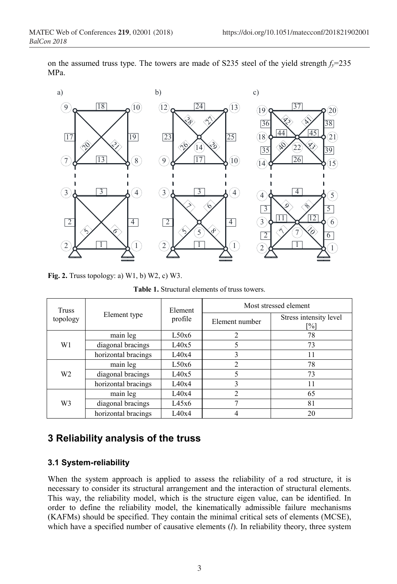

on the assumed truss type. The towers are made of S235 steel of the yield strength  $f_y$ =235 MPa.

**Fig. 2.** Truss topology: a) W1, b) W2, c) W3.

**Table 1.** Structural elements of truss towers.

| Truss<br>topology | Element type        | Element<br>profile | Most stressed element |                               |  |
|-------------------|---------------------|--------------------|-----------------------|-------------------------------|--|
|                   |                     |                    | Element number        | Stress intensity level<br>'%] |  |
| W1                | main leg            | L50x6              | $\mathfrak{D}$        | 78                            |  |
|                   | diagonal bracings   | L40x5              | 5                     | 73                            |  |
|                   | horizontal bracings | L40x4              | 3                     | 11                            |  |
| W <sub>2</sub>    | main leg            | L50x6              | $\mathfrak{D}$        | 78                            |  |
|                   | diagonal bracings   | L40x5              | 5                     | 73                            |  |
|                   | horizontal bracings | L40x4              | 3                     | 11                            |  |
| W <sub>3</sub>    | main leg            | L40x4              | $\mathfrak{D}$        | 65                            |  |
|                   | diagonal bracings   | L45x6              |                       | 81                            |  |
|                   | horizontal bracings | L40x4              |                       | 20                            |  |

## **Reliability analysis of the truss**

#### **3.1 System-reliability**

When the system approach is applied to assess the reliability of a rod structure, it is necessary to consider its structural arrangement and the interaction of structural elements. This way, the reliability model, which is the structure eigen value, can be identified. In order to define the reliability model, the kinematically admissible failure mechanisms (KAFMs) should be specified. They contain the minimal critical sets of elements (MCSE), which have a specified number of causative elements (*l*). In reliability theory, three system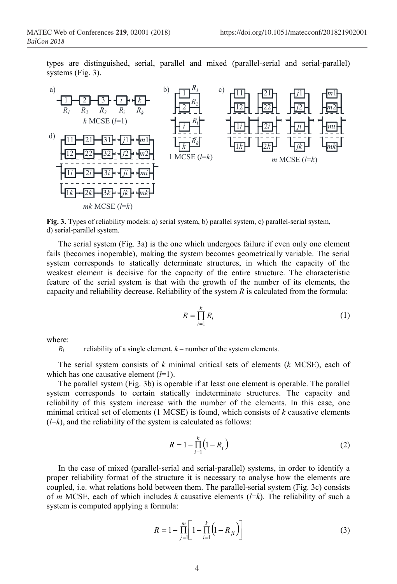types are distinguished, serial, parallel and mixed (parallel-serial and serial-parallel) systems (Fig. 3).



**Fig. 3.** Types of reliability models: a) serial system, b) parallel system, c) parallel-serial system, d) serial-parallel system.

The serial system (Fig. 3a) is the one which undergoes failure if even only one element fails (becomes inoperable), making the system becomes geometrically variable. The serial system corresponds to statically determinate structures, in which the capacity of the weakest element is decisive for the capacity of the entire structure. The characteristic feature of the serial system is that with the growth of the number of its elements, the capacity and reliability decrease. Reliability of the system *R* is calculated from the formula:

$$
R = \prod_{i=1}^{k} R_i
$$
 (1)

where:

 $R_i$  reliability of a single element,  $k$  – number of the system elements.

The serial system consists of *k* minimal critical sets of elements (*k* MCSE), each of which has one causative element (*l*=1).

The parallel system (Fig. 3b) is operable if at least one element is operable. The parallel system corresponds to certain statically indeterminate structures. The capacity and reliability of this system increase with the number of the elements. In this case, one minimal critical set of elements (1 MCSE) is found, which consists of *k* causative elements  $(l=k)$ , and the reliability of the system is calculated as follows:

$$
R = 1 - \prod_{i=1}^{k} (1 - R_i)
$$
 (2)

In the case of mixed (parallel-serial and serial-parallel) systems, in order to identify a proper reliability format of the structure it is necessary to analyse how the elements are coupled, i.e. what relations hold between them. The parallel-serial system (Fig. 3c) consists of *m* MCSE, each of which includes *k* causative elements (*l*=*k*). The reliability of such a system is computed applying a formula:

$$
R = 1 - \prod_{j=1}^{m} \left[ 1 - \prod_{i=1}^{k} \left( 1 - R_{ji} \right) \right]
$$
 (3)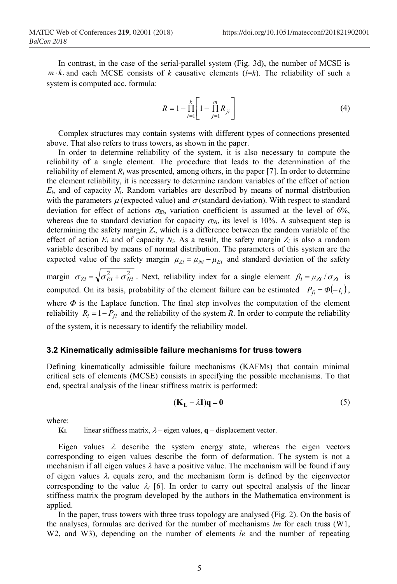In contrast, in the case of the serial-parallel system (Fig. 3d), the number of MCSE is  $m \cdot k$ , and each MCSE consists of *k* causative elements (*l*=*k*). The reliability of such a system is computed acc. formula:

$$
R = 1 - \prod_{i=1}^{k} \left[ 1 - \prod_{j=1}^{m} R_{ji} \right]
$$
 (4)

Complex structures may contain systems with different types of connections presented above. That also refers to truss towers, as shown in the paper.

In order to determine reliability of the system, it is also necessary to compute the reliability of a single element. The procedure that leads to the determination of the reliability of element  $R_i$  was presented, among others, in the paper  $[7]$ . In order to determine the element reliability, it is necessary to determine random variables of the effect of action *Ei*, and of capacity *Ni*. Random variables are described by means of normal distribution with the parameters  $\mu$  (expected value) and  $\sigma$  (standard deviation). With respect to standard deviation for effect of actions  $\sigma_{E_i}$ , variation coefficient is assumed at the level of 6%, whereas due to standard deviation for capacity  $\sigma_{Ni}$ , its level is 10%. A subsequent step is determining the safety margin *Zi*, which is a difference between the random variable of the effect of action  $E_i$  and of capacity  $N_i$ . As a result, the safety margin  $Z_i$  is also a random variable described by means of normal distribution. The parameters of this system are the expected value of the safety margin  $\mu_{Zi} = \mu_{Ni} - \mu_{Ei}$  and standard deviation of the safety margin  $\sigma_{Z_i} = \sqrt{\sigma_{E_i}^2 + \sigma_{Ni}^2}$ . Next, reliability index for a single element  $\beta_i = \mu_{Z_i} / \sigma_{Z_i}$  is computed. On its basis, probability of the element failure can be estimated  $P_{\beta} = \Phi(-t_i)$ , where  $\Phi$  is the Laplace function. The final step involves the computation of the element reliability  $R_i = 1 - P_{fi}$  and the reliability of the system *R*. In order to compute the reliability

of the system, it is necessary to identify the reliability model.

#### **3.2 Kinematically admissible failure mechanisms for truss towers**

Defining kinematically admissible failure mechanisms (KAFMs) that contain minimal critical sets of elements (MCSE) consists in specifying the possible mechanisms. To that end, spectral analysis of the linear stiffness matrix is performed:

$$
(\mathbf{K}_{\mathbf{L}} - \lambda \mathbf{I})\mathbf{q} = \mathbf{0} \tag{5}
$$

where:

**KL** linear stiffness matrix,  $\lambda$  – eigen values, **q** – displacement vector.

Eigen values  $\lambda$  describe the system energy state, whereas the eigen vectors corresponding to eigen values describe the form of deformation. The system is not a mechanism if all eigen values *λ* have a positive value. The mechanism will be found if any of eigen values  $\lambda_i$  equals zero, and the mechanism form is defined by the eigenvector corresponding to the value  $\lambda_i$  [6]. In order to carry out spectral analysis of the linear stiffness matrix the program developed by the authors in the Mathematica environment is applied.

In the paper, truss towers with three truss topology are analysed (Fig. 2). On the basis of the analyses, formulas are derived for the number of mechanisms *lm* for each truss (W1, W2, and W3), depending on the number of elements *le* and the number of repeating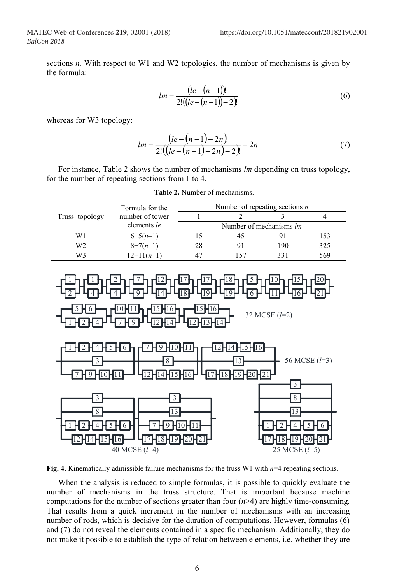sections *n.* With respect to W1 and W2 topologies, the number of mechanisms is given by the formula:

$$
lm = \frac{(le - (n-1))!}{2!((le - (n-1)) - 2)!}
$$
\n(6)

whereas for W3 topology:

$$
lm = \frac{\left(le - (n-1) - 2n\right)!}{2!\left(\left(le - (n-1) - 2n\right) - 2\right)!} + 2n\tag{7}
$$

For instance, Table 2 shows the number of mechanisms *lm* depending on truss topology, for the number of repeating sections from 1 to 4.

|                | Formula for the | Number of repeating sections $n$ |     |              |     |  |
|----------------|-----------------|----------------------------------|-----|--------------|-----|--|
| Truss topology | number of tower |                                  |     |              |     |  |
|                | elements le     | Number of mechanisms <i>lm</i>   |     |              |     |  |
| W1             | $6+5(n-1)$      |                                  |     |              |     |  |
| W2             | $8+7(n-1)$      |                                  |     | 190          | 325 |  |
|                | $12+11(n-1)$    |                                  | 157 | $33^{\circ}$ | 569 |  |

**Table 2.** Number of mechanisms.



**Fig. 4.** Kinematically admissible failure mechanisms for the truss W1 with *n*=4 repeating sections.

When the analysis is reduced to simple formulas, it is possible to quickly evaluate the number of mechanisms in the truss structure. That is important because machine computations for the number of sections greater than four (*n*>4) are highly time-consuming. That results from a quick increment in the number of mechanisms with an increasing number of rods, which is decisive for the duration of computations. However, formulas (6) and (7) do not reveal the elements contained in a specific mechanism. Additionally, they do not make it possible to establish the type of relation between elements, i.e. whether they are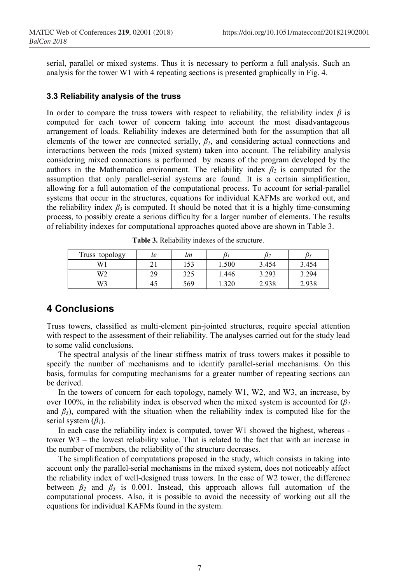serial, parallel or mixed systems. Thus it is necessary to perform a full analysis. Such an analysis for the tower W1 with 4 repeating sections is presented graphically in Fig. 4.

#### **3.3 Reliability analysis of the truss**

In order to compare the truss towers with respect to reliability, the reliability index  $\beta$  is computed for each tower of concern taking into account the most disadvantageous arrangement of loads. Reliability indexes are determined both for the assumption that all elements of the tower are connected serially,  $\beta_l$ , and considering actual connections and interactions between the rods (mixed system) taken into account. The reliability analysis considering mixed connections is performed by means of the program developed by the authors in the Mathematica environment. The reliability index  $\beta_2$  is computed for the assumption that only parallel-serial systems are found. It is a certain simplification, allowing for a full automation of the computational process. To account for serial-parallel systems that occur in the structures, equations for individual KAFMs are worked out, and the reliability index  $\beta_3$  is computed. It should be noted that it is a highly time-consuming process, to possibly create a serious difficulty for a larger number of elements. The results of reliability indexes for computational approaches quoted above are shown in Table 3.

| Truss topology | le | lm  |       | D2    |       |
|----------------|----|-----|-------|-------|-------|
| W1             |    | 153 | 1.500 | 3.454 | 3.454 |
| W2             | 29 | 325 | 1.446 | 3.293 | 3.294 |
| W3             | 45 | 569 | .320  | 2.938 | 2.938 |

**Table 3.** Reliability indexes of the structure.

## **4 Conclusions**

Truss towers, classified as multi-element pin-jointed structures, require special attention with respect to the assessment of their reliability. The analyses carried out for the study lead to some valid conclusions.

The spectral analysis of the linear stiffness matrix of truss towers makes it possible to specify the number of mechanisms and to identify parallel-serial mechanisms. On this basis, formulas for computing mechanisms for a greater number of repeating sections can be derived.

In the towers of concern for each topology, namely W1, W2, and W3, an increase, by over 100%, in the reliability index is observed when the mixed system is accounted for  $(\beta_2)$ and  $\beta_3$ ), compared with the situation when the reliability index is computed like for the serial system (*β1*).

In each case the reliability index is computed, tower W1 showed the highest, whereas tower W3 – the lowest reliability value. That is related to the fact that with an increase in the number of members, the reliability of the structure decreases.

The simplification of computations proposed in the study, which consists in taking into account only the parallel-serial mechanisms in the mixed system, does not noticeably affect the reliability index of well-designed truss towers. In the case of W2 tower, the difference between  $\beta_2$  and  $\beta_3$  is 0.001. Instead, this approach allows full automation of the computational process. Also, it is possible to avoid the necessity of working out all the equations for individual KAFMs found in the system.